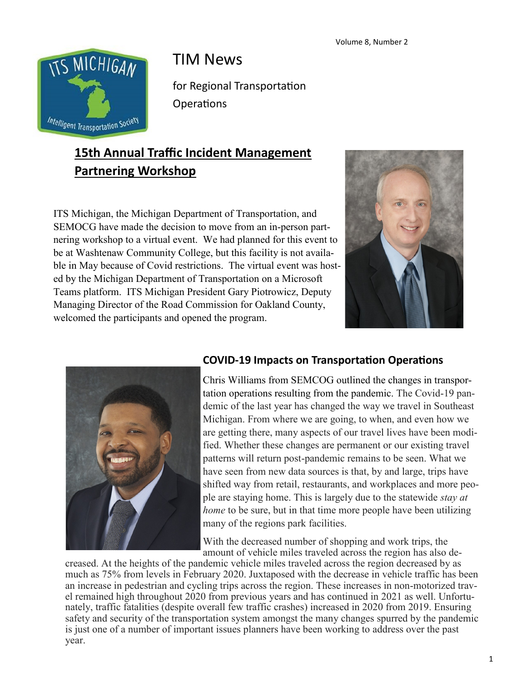

# TIM News

for Regional Transportation **Operations** 

## **15th Annual Traffic Incident Management Partnering Workshop**

ITS Michigan, the Michigan Department of Transportation, and SEMOCG have made the decision to move from an in-person partnering workshop to a virtual event. We had planned for this event to be at Washtenaw Community College, but this facility is not available in May because of Covid restrictions. The virtual event was hosted by the Michigan Department of Transportation on a Microsoft Teams platform. ITS Michigan President Gary Piotrowicz, Deputy Managing Director of the Road Commission for Oakland County, welcomed the participants and opened the program.





#### **COVID-19 Impacts on Transportation Operations**

Chris Williams from SEMCOG outlined the changes in transportation operations resulting from the pandemic. The Covid-19 pandemic of the last year has changed the way we travel in Southeast Michigan. From where we are going, to when, and even how we are getting there, many aspects of our travel lives have been modified. Whether these changes are permanent or our existing travel patterns will return post-pandemic remains to be seen. What we have seen from new data sources is that, by and large, trips have shifted way from retail, restaurants, and workplaces and more people are staying home. This is largely due to the statewide *stay at home* to be sure, but in that time more people have been utilizing many of the regions park facilities.

With the decreased number of shopping and work trips, the amount of vehicle miles traveled across the region has also de-

creased. At the heights of the pandemic vehicle miles traveled across the region decreased by as much as 75% from levels in February 2020. Juxtaposed with the decrease in vehicle traffic has been an increase in pedestrian and cycling trips across the region. These increases in non-motorized travel remained high throughout 2020 from previous years and has continued in 2021 as well. Unfortunately, traffic fatalities (despite overall few traffic crashes) increased in 2020 from 2019. Ensuring safety and security of the transportation system amongst the many changes spurred by the pandemic is just one of a number of important issues planners have been working to address over the past year.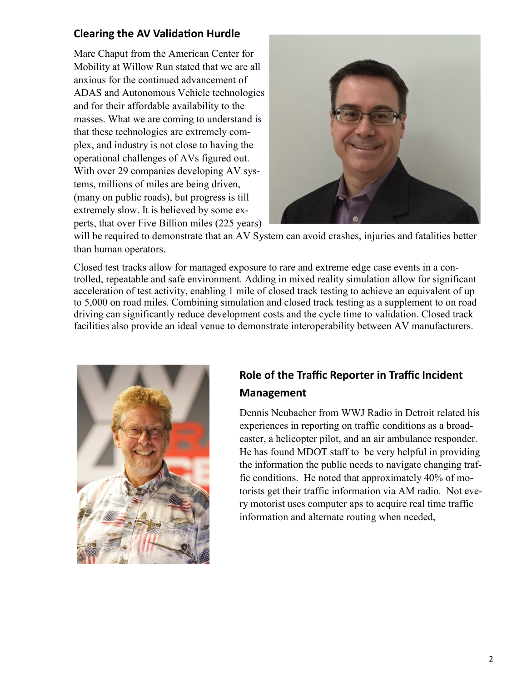#### **Clearing the AV Validation Hurdle**

Marc Chaput from the American Center for Mobility at Willow Run stated that we are all anxious for the continued advancement of ADAS and Autonomous Vehicle technologies and for their affordable availability to the masses. What we are coming to understand is that these technologies are extremely complex, and industry is not close to having the operational challenges of AVs figured out. With over 29 companies developing AV systems, millions of miles are being driven, (many on public roads), but progress is till extremely slow. It is believed by some experts, that over Five Billion miles (225 years)



will be required to demonstrate that an AV System can avoid crashes, injuries and fatalities better than human operators.

Closed test tracks allow for managed exposure to rare and extreme edge case events in a controlled, repeatable and safe environment. Adding in mixed reality simulation allow for significant acceleration of test activity, enabling 1 mile of closed track testing to achieve an equivalent of up to 5,000 on road miles. Combining simulation and closed track testing as a supplement to on road driving can significantly reduce development costs and the cycle time to validation. Closed track facilities also provide an ideal venue to demonstrate interoperability between AV manufacturers.



### **Role of the Traffic Reporter in Traffic Incident Management**

Dennis Neubacher from WWJ Radio in Detroit related his experiences in reporting on traffic conditions as a broadcaster, a helicopter pilot, and an air ambulance responder. He has found MDOT staff to be very helpful in providing the information the public needs to navigate changing traffic conditions. He noted that approximately 40% of motorists get their traffic information via AM radio. Not every motorist uses computer aps to acquire real time traffic information and alternate routing when needed,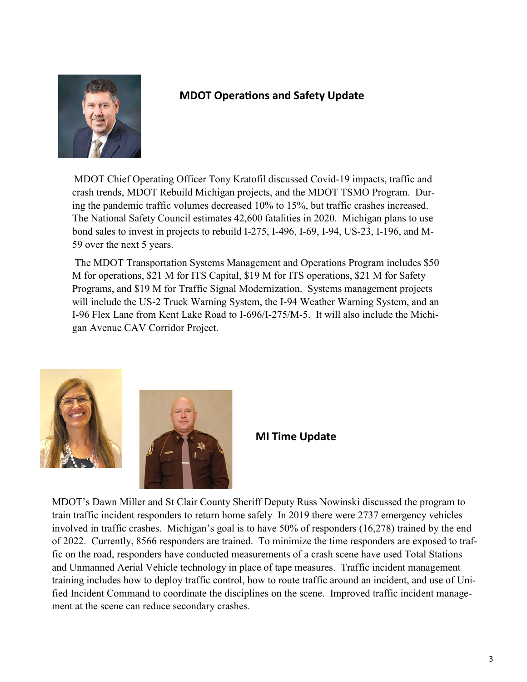

#### **MDOT Operations and Safety Update**

MDOT Chief Operating Officer Tony Kratofil discussed Covid-19 impacts, traffic and crash trends, MDOT Rebuild Michigan projects, and the MDOT TSMO Program. During the pandemic traffic volumes decreased 10% to 15%, but traffic crashes increased. The National Safety Council estimates 42,600 fatalities in 2020. Michigan plans to use bond sales to invest in projects to rebuild I-275, I-496, I-69, I-94, US-23, I-196, and M-59 over the next 5 years.

The MDOT Transportation Systems Management and Operations Program includes \$50 M for operations, \$21 M for ITS Capital, \$19 M for ITS operations, \$21 M for Safety Programs, and \$19 M for Traffic Signal Modernization. Systems management projects will include the US-2 Truck Warning System, the I-94 Weather Warning System, and an I-96 Flex Lane from Kent Lake Road to I-696/I-275/M-5. It will also include the Michigan Avenue CAV Corridor Project.





**MI Time Update**

MDOT's Dawn Miller and St Clair County Sheriff Deputy Russ Nowinski discussed the program to train traffic incident responders to return home safely In 2019 there were 2737 emergency vehicles involved in traffic crashes. Michigan's goal is to have 50% of responders (16,278) trained by the end of 2022. Currently, 8566 responders are trained. To minimize the time responders are exposed to traffic on the road, responders have conducted measurements of a crash scene have used Total Stations and Unmanned Aerial Vehicle technology in place of tape measures. Traffic incident management training includes how to deploy traffic control, how to route traffic around an incident, and use of Unified Incident Command to coordinate the disciplines on the scene. Improved traffic incident management at the scene can reduce secondary crashes.